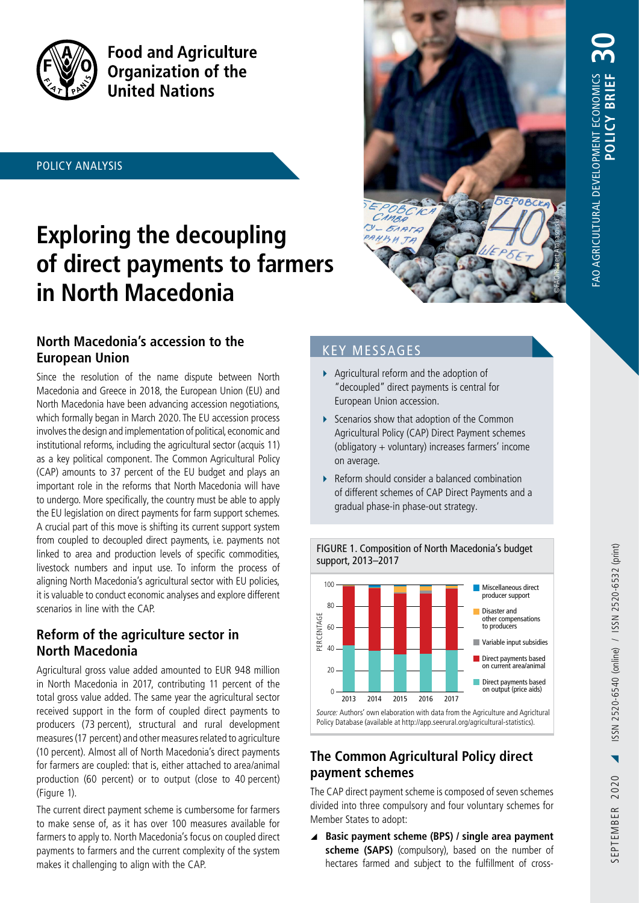

**Food and Agriculture Organization of the United Nations** 

POLICY ANALYSIS

# **Exploring the decoupling of direct payments to farmers in North Macedonia**

## **North Macedonia's accession to the European Union**

Since the resolution of the name dispute between North Macedonia and Greece in 2018, the European Union (EU) and North Macedonia have been advancing accession negotiations, which formally began in March 2020. The EU accession process involves the design and implementation of political, economic and institutional reforms, including the agricultural sector (acquis 11) as a key political component. The Common Agricultural Policy (CAP) amounts to 37 percent of the EU budget and plays an important role in the reforms that North Macedonia will have to undergo. More specifically, the country must be able to apply the EU legislation on direct payments for farm support schemes. A crucial part of this move is shifting its current support system from coupled to decoupled direct payments, i.e. payments not linked to area and production levels of specific commodities, livestock numbers and input use. To inform the process of aligning North Macedonia's agricultural sector with EU policies, it is valuable to conduct economic analyses and explore different scenarios in line with the CAP.

# **Reform of the agriculture sector in North Macedonia**

Agricultural gross value added amounted to EUR 948 million in North Macedonia in 2017, contributing 11 percent of the total gross value added. The same year the agricultural sector received support in the form of coupled direct payments to producers (73 percent), structural and rural development measures (17 percent) and other measures related to agriculture (10 percent). Almost all of North Macedonia's direct payments for farmers are coupled: that is, either attached to area/animal production (60 percent) or to output (close to 40 percent) (Figure 1).

The current direct payment scheme is cumbersome for farmers to make sense of, as it has over 100 measures available for farmers to apply to. North Macedonia's focus on coupled direct payments to farmers and the current complexity of the system makes it challenging to align with the CAP.



# KEY MESSAGES

- Agricultural reform and the adoption of "decoupled" direct payments is central for European Union accession.
- Scenarios show that adoption of the Common Agricultural Policy (CAP) Direct Payment schemes (obligatory + voluntary) increases farmers' income on average.
- ▶ Reform should consider a balanced combination of different schemes of CAP Direct Payments and a gradual phase-in phase-out strategy.

FIGURE 1. Composition of North Macedonia's budget



# **The Common Agricultural Policy direct payment schemes**

The CAP direct payment scheme is composed of seven schemes divided into three compulsory and four voluntary schemes for Member States to adopt:

▲ Basic payment scheme (BPS) / single area payment **scheme (SAPS)** (compulsory), based on the number of hectares farmed and subject to the fulfillment of cross